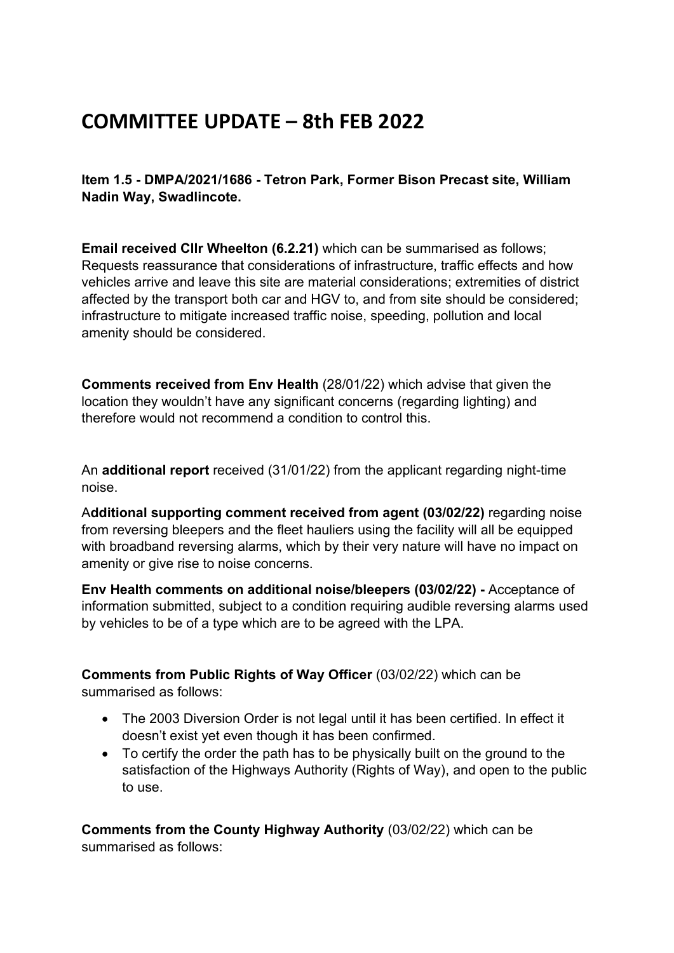## **COMMITTEE UPDATE – 8th FEB 2022**

**Item 1.5 - DMPA/2021/1686 - Tetron Park, Former Bison Precast site, William Nadin Way, Swadlincote.** 

**Email received Cllr Wheelton (6.2.21)** which can be summarised as follows; Requests reassurance that considerations of infrastructure, traffic effects and how vehicles arrive and leave this site are material considerations; extremities of district affected by the transport both car and HGV to, and from site should be considered; infrastructure to mitigate increased traffic noise, speeding, pollution and local amenity should be considered.

**Comments received from Env Health** (28/01/22) which advise that given the location they wouldn't have any significant concerns (regarding lighting) and therefore would not recommend a condition to control this.

An **additional report** received (31/01/22) from the applicant regarding night-time noise.

A**dditional supporting comment received from agent (03/02/22)** regarding noise from reversing bleepers and the fleet hauliers using the facility will all be equipped with broadband reversing alarms, which by their very nature will have no impact on amenity or give rise to noise concerns.

**Env Health comments on additional noise/bleepers (03/02/22) -** Acceptance of information submitted, subject to a condition requiring audible reversing alarms used by vehicles to be of a type which are to be agreed with the LPA.

**Comments from Public Rights of Way Officer** (03/02/22) which can be summarised as follows:

- The 2003 Diversion Order is not legal until it has been certified. In effect it doesn't exist yet even though it has been confirmed.
- To certify the order the path has to be physically built on the ground to the satisfaction of the Highways Authority (Rights of Way), and open to the public to use.

**Comments from the County Highway Authority** (03/02/22) which can be summarised as follows: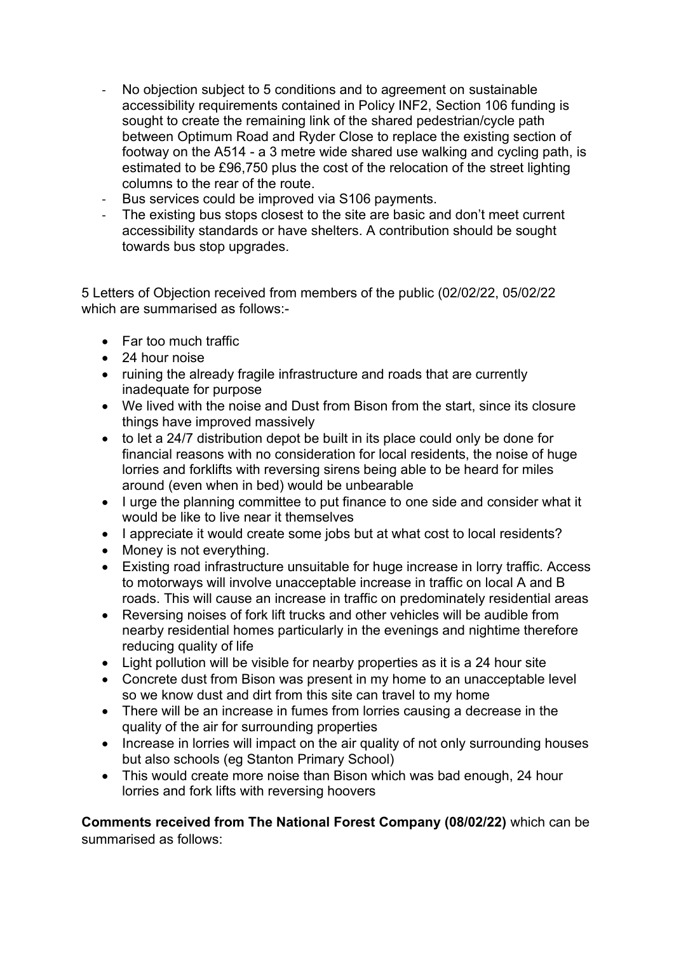- No objection subject to 5 conditions and to agreement on sustainable accessibility requirements contained in Policy INF2, Section 106 funding is sought to create the remaining link of the shared pedestrian/cycle path between Optimum Road and Ryder Close to replace the existing section of footway on the A514 - a 3 metre wide shared use walking and cycling path, is estimated to be £96,750 plus the cost of the relocation of the street lighting columns to the rear of the route.
- Bus services could be improved via S106 payments.
- The existing bus stops closest to the site are basic and don't meet current accessibility standards or have shelters. A contribution should be sought towards bus stop upgrades.

5 Letters of Objection received from members of the public (02/02/22, 05/02/22 which are summarised as follows:-

- Far too much traffic
- 24 hour noise
- ruining the already fragile infrastructure and roads that are currently inadequate for purpose
- We lived with the noise and Dust from Bison from the start, since its closure things have improved massively
- to let a 24/7 distribution depot be built in its place could only be done for financial reasons with no consideration for local residents, the noise of huge lorries and forklifts with reversing sirens being able to be heard for miles around (even when in bed) would be unbearable
- I urge the planning committee to put finance to one side and consider what it would be like to live near it themselves
- I appreciate it would create some jobs but at what cost to local residents?
- Money is not everything.
- Existing road infrastructure unsuitable for huge increase in lorry traffic. Access to motorways will involve unacceptable increase in traffic on local A and B roads. This will cause an increase in traffic on predominately residential areas
- Reversing noises of fork lift trucks and other vehicles will be audible from nearby residential homes particularly in the evenings and nightime therefore reducing quality of life
- Light pollution will be visible for nearby properties as it is a 24 hour site
- Concrete dust from Bison was present in my home to an unacceptable level so we know dust and dirt from this site can travel to my home
- There will be an increase in fumes from lorries causing a decrease in the quality of the air for surrounding properties
- Increase in lorries will impact on the air quality of not only surrounding houses but also schools (eg Stanton Primary School)
- This would create more noise than Bison which was bad enough, 24 hour lorries and fork lifts with reversing hoovers

**Comments received from The National Forest Company (08/02/22)** which can be summarised as follows: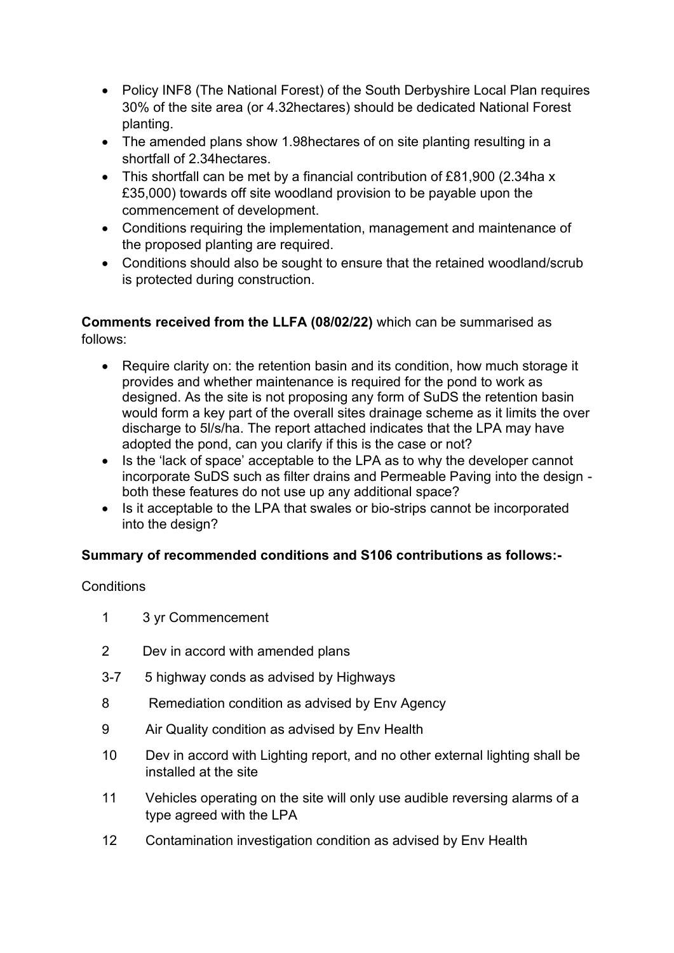- Policy INF8 (The National Forest) of the South Derbyshire Local Plan requires 30% of the site area (or 4.32hectares) should be dedicated National Forest planting.
- The amended plans show 1.98 hectares of on site planting resulting in a shortfall of 2.34hectares.
- This shortfall can be met by a financial contribution of £81,900 (2.34ha x £35,000) towards off site woodland provision to be payable upon the commencement of development.
- Conditions requiring the implementation, management and maintenance of the proposed planting are required.
- Conditions should also be sought to ensure that the retained woodland/scrub is protected during construction.

**Comments received from the LLFA (08/02/22)** which can be summarised as follows:

- Require clarity on: the retention basin and its condition, how much storage it provides and whether maintenance is required for the pond to work as designed. As the site is not proposing any form of SuDS the retention basin would form a key part of the overall sites drainage scheme as it limits the over discharge to 5l/s/ha. The report attached indicates that the LPA may have adopted the pond, can you clarify if this is the case or not?
- Is the 'lack of space' acceptable to the LPA as to why the developer cannot incorporate SuDS such as filter drains and Permeable Paving into the design both these features do not use up any additional space?
- Is it acceptable to the LPA that swales or bio-strips cannot be incorporated into the design?

## **Summary of recommended conditions and S106 contributions as follows:-**

## **Conditions**

- 1 3 yr Commencement
- 2 Dev in accord with amended plans
- 3-7 5 highway conds as advised by Highways
- 8 Remediation condition as advised by Env Agency
- 9 Air Quality condition as advised by Env Health
- 10 Dev in accord with Lighting report, and no other external lighting shall be installed at the site
- 11 Vehicles operating on the site will only use audible reversing alarms of a type agreed with the LPA
- 12 Contamination investigation condition as advised by Env Health